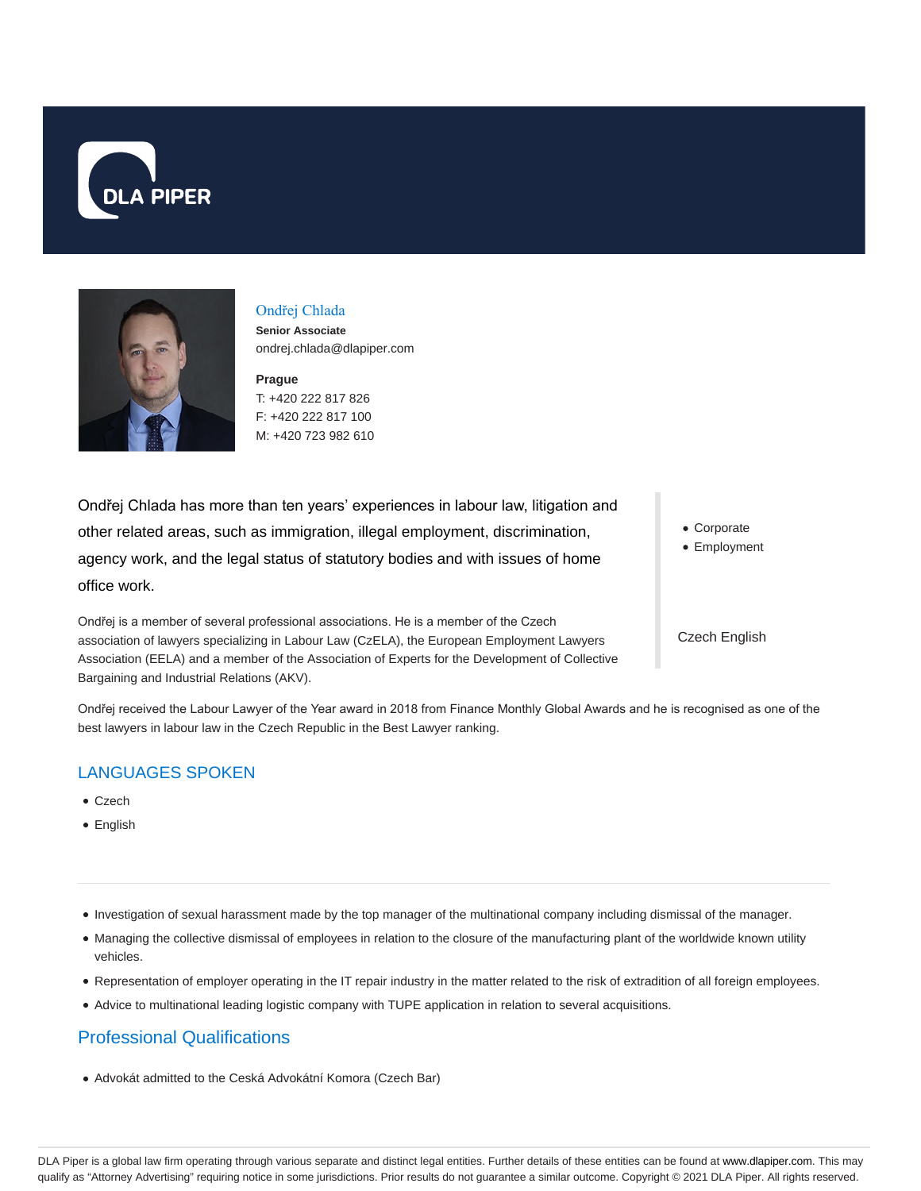



# Ondřej Chlada

**Senior Associate** ondrej.chlada@dlapiper.com

**Prague** T: +420 222 817 826 F: +420 222 817 100 M: +420 723 982 610

Ondřej Chlada has more than ten years' experiences in labour law, litigation and other related areas, such as immigration, illegal employment, discrimination, agency work, and the legal status of statutory bodies and with issues of home office work.

Ondřej is a member of several professional associations. He is a member of the Czech association of lawyers specializing in Labour Law (CzELA), the European Employment Lawyers Association (EELA) and a member of the Association of Experts for the Development of Collective Bargaining and Industrial Relations (AKV).

Corporate

Employment

Czech English

Ondřej received the Labour Lawyer of the Year award in 2018 from Finance Monthly Global Awards and he is recognised as one of the best lawyers in labour law in the Czech Republic in the Best Lawyer ranking.

## LANGUAGES SPOKEN

- Czech
- English
- Investigation of sexual harassment made by the top manager of the multinational company including dismissal of the manager.
- Managing the collective dismissal of employees in relation to the closure of the manufacturing plant of the worldwide known utility vehicles.
- Representation of employer operating in the IT repair industry in the matter related to the risk of extradition of all foreign employees.
- Advice to multinational leading logistic company with TUPE application in relation to several acquisitions.

## Professional Qualifications

Advokát admitted to the Ceská Advokátní Komora (Czech Bar)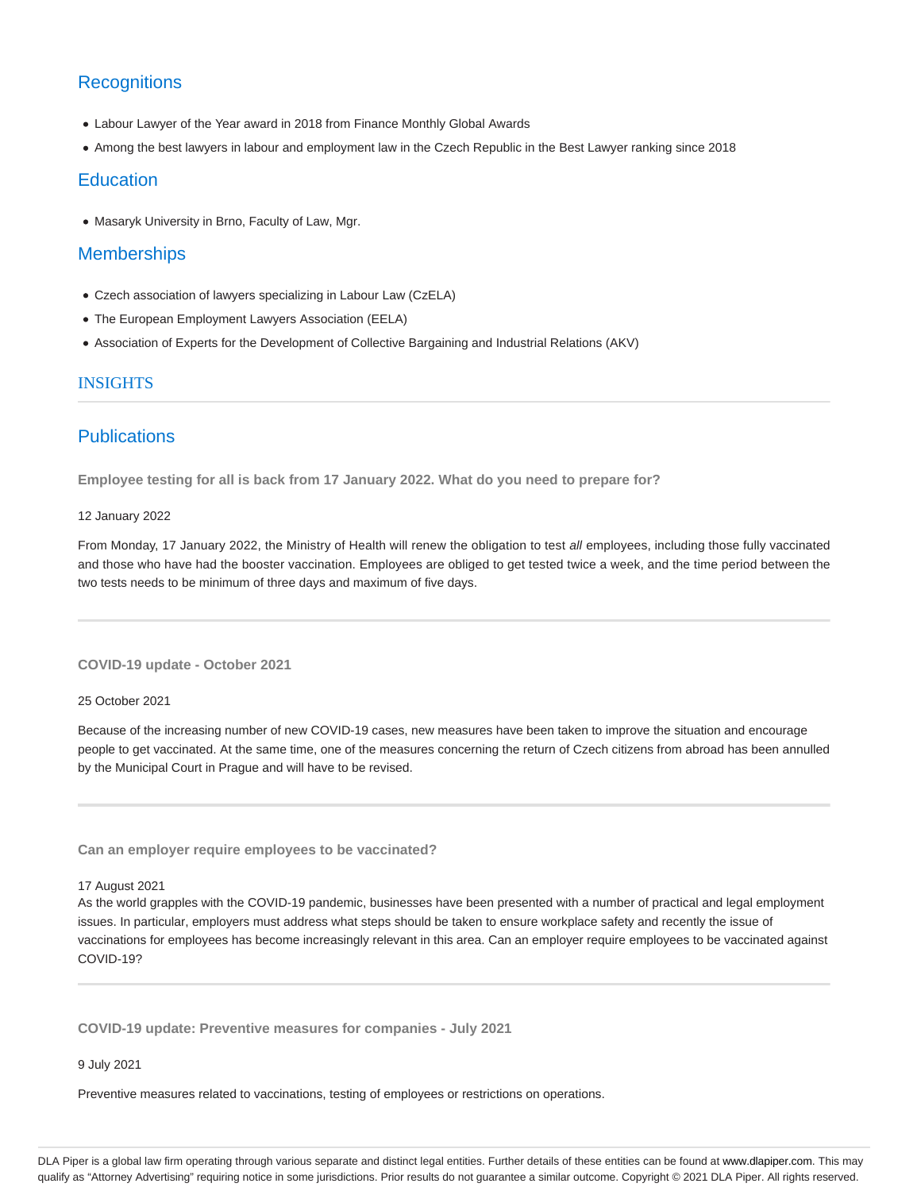## **Recognitions**

- Labour Lawyer of the Year award in 2018 from Finance Monthly Global Awards
- Among the best lawyers in labour and employment law in the Czech Republic in the Best Lawyer ranking since 2018

### **Education**

Masaryk University in Brno, Faculty of Law, Mgr.

### **Memberships**

- Czech association of lawyers specializing in Labour Law (CzELA)
- The European Employment Lawyers Association (EELA)
- Association of Experts for the Development of Collective Bargaining and Industrial Relations (AKV)

### INSIGHTS

### **Publications**

**Employee testing for all is back from 17 January 2022. What do you need to prepare for?**

### 12 January 2022

From Monday, 17 January 2022, the Ministry of Health will renew the obligation to test all employees, including those fully vaccinated and those who have had the booster vaccination. Employees are obliged to get tested twice a week, and the time period between the two tests needs to be minimum of three days and maximum of five days.

**COVID-19 update - October 2021**

#### 25 October 2021

Because of the increasing number of new COVID-19 cases, new measures have been taken to improve the situation and encourage people to get vaccinated. At the same time, one of the measures concerning the return of Czech citizens from abroad has been annulled by the Municipal Court in Prague and will have to be revised.

**Can an employer require employees to be vaccinated?**

#### 17 August 2021

As the world grapples with the COVID-19 pandemic, businesses have been presented with a number of practical and legal employment issues. In particular, employers must address what steps should be taken to ensure workplace safety and recently the issue of vaccinations for employees has become increasingly relevant in this area. Can an employer require employees to be vaccinated against COVID-19?

**COVID-19 update: Preventive measures for companies - July 2021**

### 9 July 2021

Preventive measures related to vaccinations, testing of employees or restrictions on operations.

DLA Piper is a global law firm operating through various separate and distinct legal entities. Further details of these entities can be found at www.dlapiper.com. This may qualify as "Attorney Advertising" requiring notice in some jurisdictions. Prior results do not guarantee a similar outcome. Copyright © 2021 DLA Piper. All rights reserved.